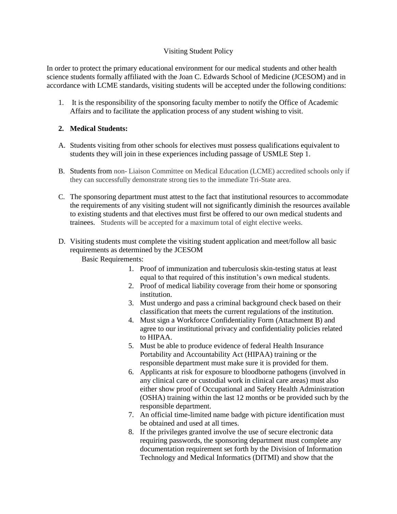## Visiting Student Policy

In order to protect the primary educational environment for our medical students and other health science students formally affiliated with the Joan C. Edwards School of Medicine (JCESOM) and in accordance with LCME standards, visiting students will be accepted under the following conditions:

1. It is the responsibility of the sponsoring faculty member to notify the Office of Academic Affairs and to facilitate the application process of any student wishing to visit.

## **2. Medical Students:**

- A. Students visiting from other schools for electives must possess qualifications equivalent to students they will join in these experiences including passage of USMLE Step 1.
- B. Students from non- Liaison Committee on Medical Education (LCME) accredited schools only if they can successfully demonstrate strong ties to the immediate Tri-State area.
- C. The sponsoring department must attest to the fact that institutional resources to accommodate the requirements of any visiting student will not significantly diminish the resources available to existing students and that electives must first be offered to our own medical students and trainees. Students will be accepted for a maximum total of eight elective weeks.
- D. Visiting students must complete the visiting student application and meet/follow all basic requirements as determined by the JCESOM

Basic Requirements:

- 1. Proof of immunization and tuberculosis skin-testing status at least equal to that required of this institution's own medical students.
- 2. Proof of medical liability coverage from their home or sponsoring institution.
- 3. Must undergo and pass a criminal background check based on their classification that meets the current regulations of the institution.
- 4. Must sign a Workforce Confidentiality Form (Attachment B) and agree to our institutional privacy and confidentiality policies related to HIPAA.
- 5. Must be able to produce evidence of federal Health Insurance Portability and Accountability Act (HIPAA) training or the responsible department must make sure it is provided for them.
- 6. Applicants at risk for exposure to bloodborne pathogens (involved in any clinical care or custodial work in clinical care areas) must also either show proof of Occupational and Safety Health Administration (OSHA) training within the last 12 months or be provided such by the responsible department.
- 7. An official time-limited name badge with picture identification must be obtained and used at all times.
- 8. If the privileges granted involve the use of secure electronic data requiring passwords, the sponsoring department must complete any documentation requirement set forth by the Division of Information Technology and Medical Informatics (DITMI) and show that the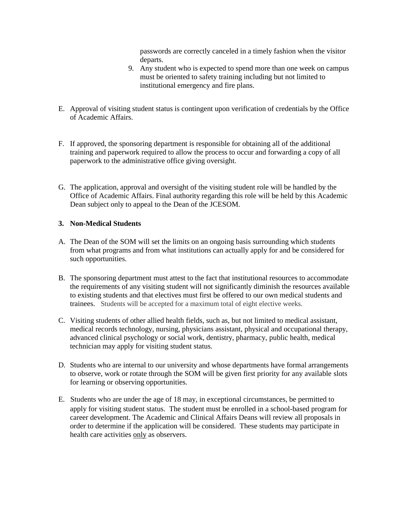passwords are correctly canceled in a timely fashion when the visitor departs.

- 9. Any student who is expected to spend more than one week on campus must be oriented to safety training including but not limited to institutional emergency and fire plans.
- E. Approval of visiting student status is contingent upon verification of credentials by the Office of Academic Affairs.
- F. If approved, the sponsoring department is responsible for obtaining all of the additional training and paperwork required to allow the process to occur and forwarding a copy of all paperwork to the administrative office giving oversight.
- G. The application, approval and oversight of the visiting student role will be handled by the Office of Academic Affairs. Final authority regarding this role will be held by this Academic Dean subject only to appeal to the Dean of the JCESOM.

## **3. Non-Medical Students**

- A. The Dean of the SOM will set the limits on an ongoing basis surrounding which students from what programs and from what institutions can actually apply for and be considered for such opportunities.
- B. The sponsoring department must attest to the fact that institutional resources to accommodate the requirements of any visiting student will not significantly diminish the resources available to existing students and that electives must first be offered to our own medical students and trainees. Students will be accepted for a maximum total of eight elective weeks.
- C. Visiting students of other allied health fields, such as, but not limited to medical assistant, medical records technology, nursing, physicians assistant, physical and occupational therapy, advanced clinical psychology or social work, dentistry, pharmacy, public health, medical technician may apply for visiting student status.
- D. Students who are internal to our university and whose departments have formal arrangements to observe, work or rotate through the SOM will be given first priority for any available slots for learning or observing opportunities.
- E. Students who are under the age of 18 may, in exceptional circumstances, be permitted to apply for visiting student status. The student must be enrolled in a school-based program for career development. The Academic and Clinical Affairs Deans will review all proposals in order to determine if the application will be considered. These students may participate in health care activities only as observers.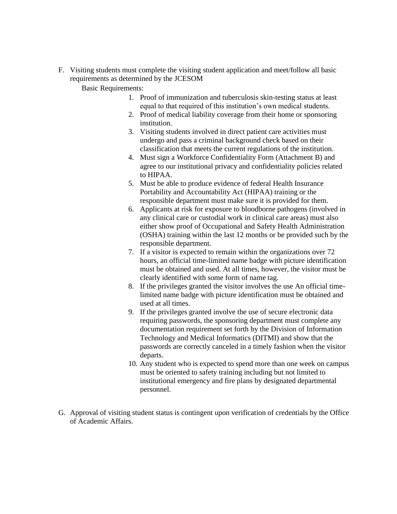F. Visiting students must complete the visiting student application and meet/follow all basic requirements as determined by the JCESOM

Basic Requirements:

- 1. Proof of immunization and tuberculosis skin-testing status at least equal to that required of this institution's own medical students.
- 2. Proof of medical liability coverage from their home or sponsoring institution.
- 3. Visiting students involved in direct patient care activities must undergo and pass a criminal background check based on their classification that meets the current regulations of the institution.
- 4. Must sign a Workforce Confidentiality Form (Attachment B) and agree to our institutional privacy and confidentiality policies related to HIPAA.
- 5. Must be able to produce evidence of federal Health Insurance Portability and Accountability Act (HIPAA) training or the responsible department must make sure it is provided for them.
- 6. Applicants at risk for exposure to bloodborne pathogens (involved in any clinical care or custodial work in clinical care areas) must also either show proof of Occupational and Safety Health Administration (OSHA) training within the last 12 months or be provided such by the responsible department.
- 7. If a visitor is expected to remain within the organizations over 72 hours, an official time-limited name badge with picture identification must be obtained and used. At all times, however, the visitor must be clearly identified with some form of name tag.
- 8. If the privileges granted the visitor involves the use An official timelimited name badge with picture identification must be obtained and used at all times.
- 9. If the privileges granted involve the use of secure electronic data requiring passwords, the sponsoring department must complete any documentation requirement set forth by the Division of Information Technology and Medical Informatics (DITMI) and show that the passwords are correctly canceled in a timely fashion when the visitor departs.
- 10. Any student who is expected to spend more than one week on campus must be oriented to safety training including but not limited to institutional emergency and fire plans by designated departmental personnel.
- G. Approval of visiting student status is contingent upon verification of credentials by the Office of Academic Affairs.